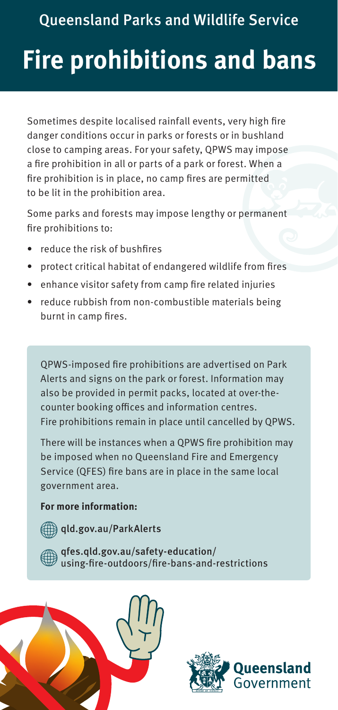Queensland Parks and Wildlife Service

## **Fire prohibitions and bans**

Sometimes despite localised rainfall events, very high fire danger conditions occur in parks or forests or in bushland close to camping areas. For your safety, QPWS may impose a fire prohibition in all or parts of a park or forest. When a fire prohibition is in place, no camp fires are permitted to be lit in the prohibition area.

Some parks and forests may impose lengthy or permanent fire prohibitions to:

- reduce the risk of bushfires
- protect critical habitat of endangered wildlife from fires
- enhance visitor safety from camp fire related injuries
- reduce rubbish from non-combustible materials being burnt in camp fires.

QPWS-imposed fire prohibitions are advertised on Park Alerts and signs on the park or forest. Information may also be provided in permit packs, located at over-thecounter booking offices and information centres. Fire prohibitions remain in place until cancelled by QPWS.

There will be instances when a QPWS fire prohibition may be imposed when no Queensland Fire and Emergency Service (QFES) fire bans are in place in the same local government area.

## **For more information:**



[qfes.qld.gov.au/safety-education/](http://qfes.qld.gov.au/safety-education/using-fire-outdoors/fire-bans-and-restrictions) using-fire-outdoors/fire-bans-and-restrictions